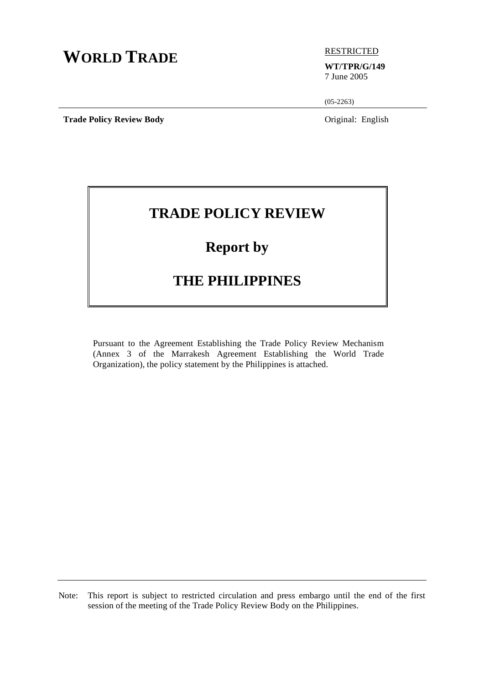# **WORLD TRADE ELECTRICTED**

### **WT/TPR/G/149**

7 June 2005

 $(05-2263)$ 

**Trade Policy Review Body Original: English** 

## **TRADE POLICY REVIEW**

## **Report by**

### **THE PHILIPPINES**

Pursuant to the Agreement Establishing the Trade Policy Review Mechanism (Annex 3 of the Marrakesh Agreement Establishing the World Trade Organization), the policy statement by the Philippines is attached.

Note: This report is subject to restricted circulation and press embargo until the end of the first session of the meeting of the Trade Policy Review Body on the Philippines.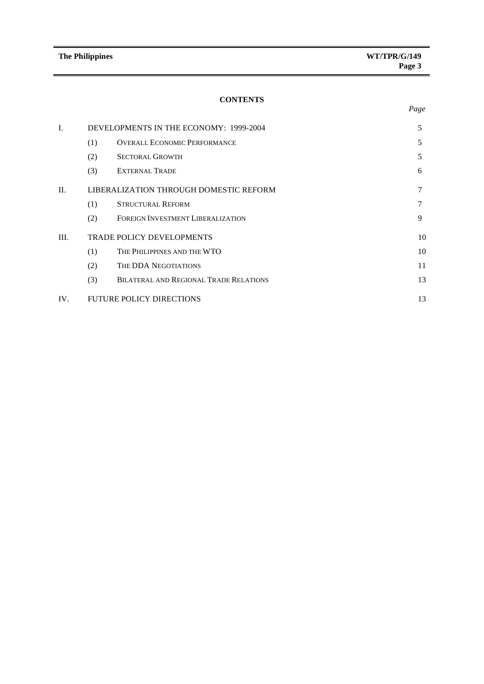*Page* 

#### **CONTENTS**

| Ī.   | DEVELOPMENTS IN THE ECONOMY: 1999-2004 |                                        |    |  |  |
|------|----------------------------------------|----------------------------------------|----|--|--|
|      | (1)                                    | <b>OVERALL ECONOMIC PERFORMANCE</b>    | 5  |  |  |
|      | (2)                                    | <b>SECTORAL GROWTH</b>                 | 5  |  |  |
|      | (3)                                    | <b>EXTERNAL TRADE</b>                  | 6  |  |  |
| II.  |                                        | LIBERALIZATION THROUGH DOMESTIC REFORM | 7  |  |  |
|      | (1)                                    | <b>STRUCTURAL REFORM</b>               |    |  |  |
|      | (2)                                    | FOREIGN INVESTMENT LIBERALIZATION      | 9  |  |  |
| III. |                                        | <b>TRADE POLICY DEVELOPMENTS</b>       | 10 |  |  |
|      | (1)                                    | THE PHILIPPINES AND THE WTO            | 10 |  |  |
|      | (2)                                    | THE DDA NEGOTIATIONS                   | 11 |  |  |
|      | (3)                                    | BILATERAL AND REGIONAL TRADE RELATIONS | 13 |  |  |
| IV.  |                                        | <b>FUTURE POLICY DIRECTIONS</b>        | 13 |  |  |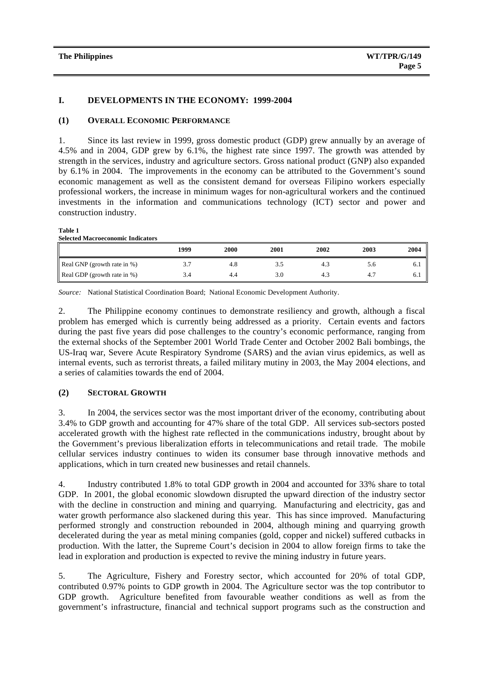#### **I. DEVELOPMENTS IN THE ECONOMY: 1999-2004**

#### **(1) OVERALL ECONOMIC PERFORMANCE**

1. Since its last review in 1999, gross domestic product (GDP) grew annually by an average of 4.5% and in 2004, GDP grew by 6.1%, the highest rate since 1997. The growth was attended by strength in the services, industry and agriculture sectors. Gross national product (GNP) also expanded by 6.1% in 2004. The improvements in the economy can be attributed to the Government's sound economic management as well as the consistent demand for overseas Filipino workers especially professional workers, the increase in minimum wages for non-agricultural workers and the continued investments in the information and communications technology (ICT) sector and power and construction industry.

**Table 1** 

| <b>Selected Macroeconomic Indicators</b> |      |      |      |      |      |      |  |
|------------------------------------------|------|------|------|------|------|------|--|
|                                          | 1999 | 2000 | 2001 | 2002 | 2003 | 2004 |  |
| Real GNP (growth rate in %)              | 3.7  | 4.8  | 3.D  | 4.3  | 5.6  | 6.1  |  |
| Real GDP (growth rate in %)              | 3.4  | 4.4  | 3.0  | 4.3  | 4.7  | 6.1  |  |

*Source:* National Statistical Coordination Board; National Economic Development Authority.

2. The Philippine economy continues to demonstrate resiliency and growth, although a fiscal problem has emerged which is currently being addressed as a priority. Certain events and factors during the past five years did pose challenges to the country's economic performance, ranging from the external shocks of the September 2001 World Trade Center and October 2002 Bali bombings, the US-Iraq war, Severe Acute Respiratory Syndrome (SARS) and the avian virus epidemics, as well as internal events, such as terrorist threats, a failed military mutiny in 2003, the May 2004 elections, and a series of calamities towards the end of 2004.

#### **(2) SECTORAL GROWTH**

3. In 2004, the services sector was the most important driver of the economy, contributing about 3.4% to GDP growth and accounting for 47% share of the total GDP. All services sub-sectors posted accelerated growth with the highest rate reflected in the communications industry, brought about by the Government's previous liberalization efforts in telecommunications and retail trade. The mobile cellular services industry continues to widen its consumer base through innovative methods and applications, which in turn created new businesses and retail channels.

4. Industry contributed 1.8% to total GDP growth in 2004 and accounted for 33% share to total GDP. In 2001, the global economic slowdown disrupted the upward direction of the industry sector with the decline in construction and mining and quarrying. Manufacturing and electricity, gas and water growth performance also slackened during this year. This has since improved. Manufacturing performed strongly and construction rebounded in 2004, although mining and quarrying growth decelerated during the year as metal mining companies (gold, copper and nickel) suffered cutbacks in production. With the latter, the Supreme Court's decision in 2004 to allow foreign firms to take the lead in exploration and production is expected to revive the mining industry in future years.

5. The Agriculture, Fishery and Forestry sector, which accounted for 20% of total GDP, contributed 0.97% points to GDP growth in 2004. The Agriculture sector was the top contributor to GDP growth. Agriculture benefited from favourable weather conditions as well as from the government's infrastructure, financial and technical support programs such as the construction and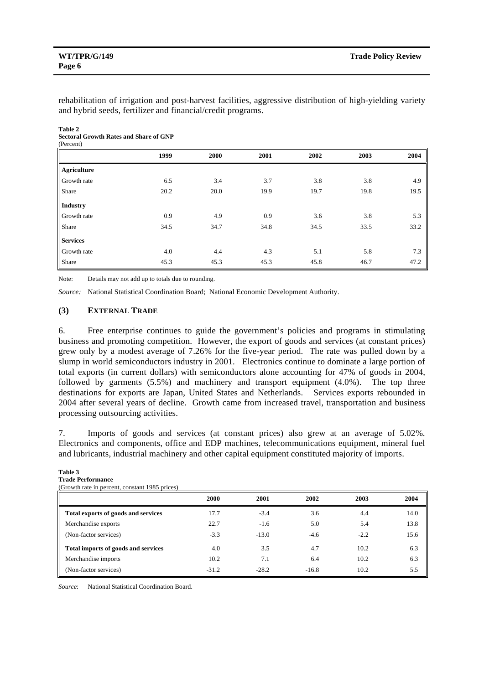rehabilitation of irrigation and post-harvest facilities, aggressive distribution of high-yielding variety and hybrid seeds, fertilizer and financial/credit programs.

#### **Table 2 Sectoral Growth Rates and Share of GNP**  (Percent)

|                    | 1999 | 2000 | 2001 | 2002 | 2003 | 2004 |
|--------------------|------|------|------|------|------|------|
| <b>Agriculture</b> |      |      |      |      |      |      |
| Growth rate        | 6.5  | 3.4  | 3.7  | 3.8  | 3.8  | 4.9  |
| Share              | 20.2 | 20.0 | 19.9 | 19.7 | 19.8 | 19.5 |
| <b>Industry</b>    |      |      |      |      |      |      |
| Growth rate        | 0.9  | 4.9  | 0.9  | 3.6  | 3.8  | 5.3  |
| Share              | 34.5 | 34.7 | 34.8 | 34.5 | 33.5 | 33.2 |
| <b>Services</b>    |      |      |      |      |      |      |
| Growth rate        | 4.0  | 4.4  | 4.3  | 5.1  | 5.8  | 7.3  |
| Share              | 45.3 | 45.3 | 45.3 | 45.8 | 46.7 | 47.2 |

Note: Details may not add up to totals due to rounding.

*Source:* National Statistical Coordination Board; National Economic Development Authority.

#### **(3) EXTERNAL TRADE**

6. Free enterprise continues to guide the government's policies and programs in stimulating business and promoting competition. However, the export of goods and services (at constant prices) grew only by a modest average of 7.26% for the five-year period. The rate was pulled down by a slump in world semiconductors industry in 2001. Electronics continue to dominate a large portion of total exports (in current dollars) with semiconductors alone accounting for 47% of goods in 2004, followed by garments (5.5%) and machinery and transport equipment (4.0%). The top three destinations for exports are Japan, United States and Netherlands. Services exports rebounded in 2004 after several years of decline. Growth came from increased travel, transportation and business processing outsourcing activities.

7. Imports of goods and services (at constant prices) also grew at an average of 5.02%. Electronics and components, office and EDP machines, telecommunications equipment, mineral fuel and lubricants, industrial machinery and other capital equipment constituted majority of imports.

#### **Table 3 Trade Performance**

(Growth rate in percent, constant 1985 prices)

|                                     | 2000    | 2001    | 2002    | 2003   | 2004 |
|-------------------------------------|---------|---------|---------|--------|------|
| Total exports of goods and services | 17.7    | $-3.4$  | 3.6     | 4.4    | 14.0 |
| Merchandise exports                 | 22.7    | $-1.6$  | 5.0     | 5.4    | 13.8 |
| (Non-factor services)               | $-3.3$  | $-13.0$ | $-4.6$  | $-2.2$ | 15.6 |
| Total imports of goods and services | 4.0     | 3.5     | 4.7     | 10.2   | 6.3  |
| Merchandise imports                 | 10.2    | 7.1     | 6.4     | 10.2   | 6.3  |
| (Non-factor services)               | $-31.2$ | $-28.2$ | $-16.8$ | 10.2   | 5.5  |

*Source*: National Statistical Coordination Board.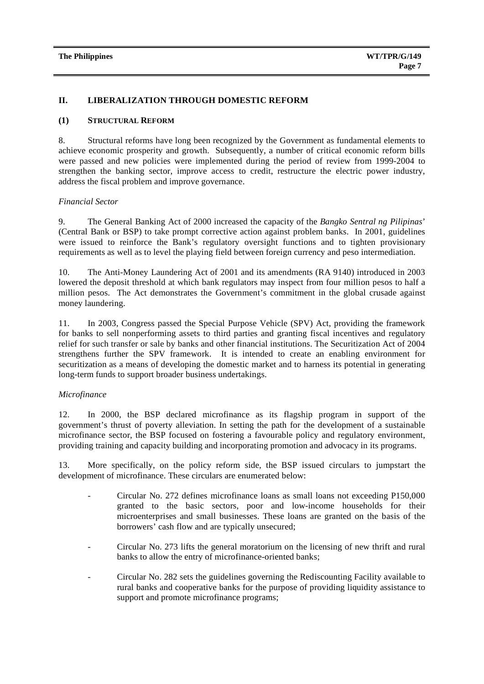#### **II. LIBERALIZATION THROUGH DOMESTIC REFORM**

#### **(1) STRUCTURAL REFORM**

8. Structural reforms have long been recognized by the Government as fundamental elements to achieve economic prosperity and growth. Subsequently, a number of critical economic reform bills were passed and new policies were implemented during the period of review from 1999-2004 to strengthen the banking sector, improve access to credit, restructure the electric power industry, address the fiscal problem and improve governance.

#### *Financial Sector*

9. The General Banking Act of 2000 increased the capacity of the *Bangko Sentral ng Pilipinas*' (Central Bank or BSP) to take prompt corrective action against problem banks. In 2001, guidelines were issued to reinforce the Bank's regulatory oversight functions and to tighten provisionary requirements as well as to level the playing field between foreign currency and peso intermediation.

10. The Anti-Money Laundering Act of 2001 and its amendments (RA 9140) introduced in 2003 lowered the deposit threshold at which bank regulators may inspect from four million pesos to half a million pesos. The Act demonstrates the Government's commitment in the global crusade against money laundering.

11. In 2003, Congress passed the Special Purpose Vehicle (SPV) Act, providing the framework for banks to sell nonperforming assets to third parties and granting fiscal incentives and regulatory relief for such transfer or sale by banks and other financial institutions. The Securitization Act of 2004 strengthens further the SPV framework. It is intended to create an enabling environment for securitization as a means of developing the domestic market and to harness its potential in generating long-term funds to support broader business undertakings.

#### *Microfinance*

12. In 2000, the BSP declared microfinance as its flagship program in support of the government's thrust of poverty alleviation. In setting the path for the development of a sustainable microfinance sector, the BSP focused on fostering a favourable policy and regulatory environment, providing training and capacity building and incorporating promotion and advocacy in its programs.

13. More specifically, on the policy reform side, the BSP issued circulars to jumpstart the development of microfinance. These circulars are enumerated below:

- Circular No. 272 defines microfinance loans as small loans not exceeding P150,000 granted to the basic sectors, poor and low-income households for their microenterprises and small businesses. These loans are granted on the basis of the borrowers' cash flow and are typically unsecured;
- Circular No. 273 lifts the general moratorium on the licensing of new thrift and rural banks to allow the entry of microfinance-oriented banks;
- Circular No. 282 sets the guidelines governing the Rediscounting Facility available to rural banks and cooperative banks for the purpose of providing liquidity assistance to support and promote microfinance programs;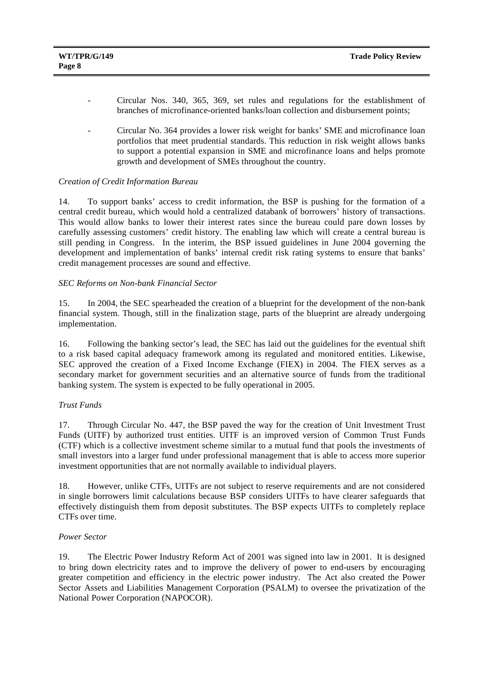- Circular Nos. 340, 365, 369, set rules and regulations for the establishment of branches of microfinance-oriented banks/loan collection and disbursement points;
- Circular No. 364 provides a lower risk weight for banks' SME and microfinance loan portfolios that meet prudential standards. This reduction in risk weight allows banks to support a potential expansion in SME and microfinance loans and helps promote growth and development of SMEs throughout the country.

#### *Creation of Credit Information Bureau*

14. To support banks' access to credit information, the BSP is pushing for the formation of a central credit bureau, which would hold a centralized databank of borrowers' history of transactions. This would allow banks to lower their interest rates since the bureau could pare down losses by carefully assessing customers' credit history. The enabling law which will create a central bureau is still pending in Congress. In the interim, the BSP issued guidelines in June 2004 governing the development and implementation of banks' internal credit risk rating systems to ensure that banks' credit management processes are sound and effective.

#### *SEC Reforms on Non-bank Financial Sector*

15. In 2004, the SEC spearheaded the creation of a blueprint for the development of the non-bank financial system. Though, still in the finalization stage, parts of the blueprint are already undergoing implementation.

16. Following the banking sector's lead, the SEC has laid out the guidelines for the eventual shift to a risk based capital adequacy framework among its regulated and monitored entities. Likewise, SEC approved the creation of a Fixed Income Exchange (FIEX) in 2004. The FIEX serves as a secondary market for government securities and an alternative source of funds from the traditional banking system. The system is expected to be fully operational in 2005.

#### *Trust Funds*

17. Through Circular No. 447, the BSP paved the way for the creation of Unit Investment Trust Funds (UITF) by authorized trust entities. UITF is an improved version of Common Trust Funds (CTF) which is a collective investment scheme similar to a mutual fund that pools the investments of small investors into a larger fund under professional management that is able to access more superior investment opportunities that are not normally available to individual players.

18. However, unlike CTFs, UITFs are not subject to reserve requirements and are not considered in single borrowers limit calculations because BSP considers UITFs to have clearer safeguards that effectively distinguish them from deposit substitutes. The BSP expects UITFs to completely replace CTFs over time.

#### *Power Sector*

19. The Electric Power Industry Reform Act of 2001 was signed into law in 2001. It is designed to bring down electricity rates and to improve the delivery of power to end-users by encouraging greater competition and efficiency in the electric power industry. The Act also created the Power Sector Assets and Liabilities Management Corporation (PSALM) to oversee the privatization of the National Power Corporation (NAPOCOR).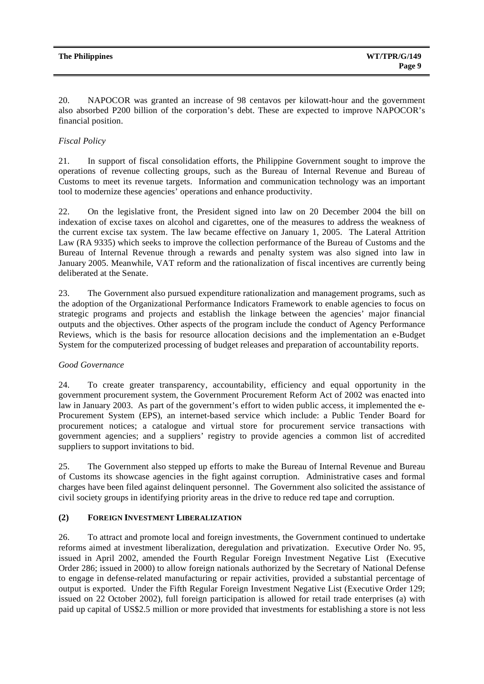20. NAPOCOR was granted an increase of 98 centavos per kilowatt-hour and the government also absorbed P200 billion of the corporation's debt. These are expected to improve NAPOCOR's financial position.

#### *Fiscal Policy*

21. In support of fiscal consolidation efforts, the Philippine Government sought to improve the operations of revenue collecting groups, such as the Bureau of Internal Revenue and Bureau of Customs to meet its revenue targets. Information and communication technology was an important tool to modernize these agencies' operations and enhance productivity.

22. On the legislative front, the President signed into law on 20 December 2004 the bill on indexation of excise taxes on alcohol and cigarettes, one of the measures to address the weakness of the current excise tax system. The law became effective on January 1, 2005. The Lateral Attrition Law (RA 9335) which seeks to improve the collection performance of the Bureau of Customs and the Bureau of Internal Revenue through a rewards and penalty system was also signed into law in January 2005. Meanwhile, VAT reform and the rationalization of fiscal incentives are currently being deliberated at the Senate.

23. The Government also pursued expenditure rationalization and management programs, such as the adoption of the Organizational Performance Indicators Framework to enable agencies to focus on strategic programs and projects and establish the linkage between the agencies' major financial outputs and the objectives. Other aspects of the program include the conduct of Agency Performance Reviews, which is the basis for resource allocation decisions and the implementation an e-Budget System for the computerized processing of budget releases and preparation of accountability reports.

#### *Good Governance*

24. To create greater transparency, accountability, efficiency and equal opportunity in the government procurement system, the Government Procurement Reform Act of 2002 was enacted into law in January 2003. As part of the government's effort to widen public access, it implemented the e-Procurement System (EPS), an internet-based service which include: a Public Tender Board for procurement notices; a catalogue and virtual store for procurement service transactions with government agencies; and a suppliers' registry to provide agencies a common list of accredited suppliers to support invitations to bid.

25. The Government also stepped up efforts to make the Bureau of Internal Revenue and Bureau of Customs its showcase agencies in the fight against corruption. Administrative cases and formal charges have been filed against delinquent personnel. The Government also solicited the assistance of civil society groups in identifying priority areas in the drive to reduce red tape and corruption.

#### **(2) FOREIGN INVESTMENT LIBERALIZATION**

26. To attract and promote local and foreign investments, the Government continued to undertake reforms aimed at investment liberalization, deregulation and privatization. Executive Order No. 95, issued in April 2002, amended the Fourth Regular Foreign Investment Negative List (Executive Order 286; issued in 2000) to allow foreign nationals authorized by the Secretary of National Defense to engage in defense-related manufacturing or repair activities, provided a substantial percentage of output is exported. Under the Fifth Regular Foreign Investment Negative List (Executive Order 129; issued on 22 October 2002), full foreign participation is allowed for retail trade enterprises (a) with paid up capital of US\$2.5 million or more provided that investments for establishing a store is not less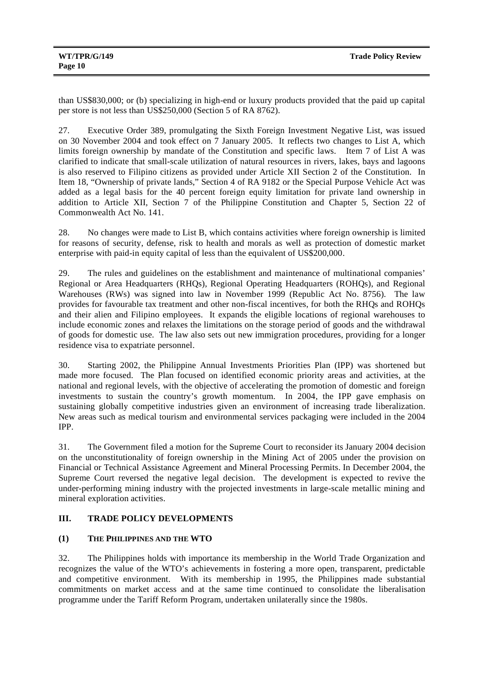than US\$830,000; or (b) specializing in high-end or luxury products provided that the paid up capital per store is not less than US\$250,000 (Section 5 of RA 8762).

27. Executive Order 389, promulgating the Sixth Foreign Investment Negative List, was issued on 30 November 2004 and took effect on 7 January 2005. It reflects two changes to List A, which limits foreign ownership by mandate of the Constitution and specific laws. Item 7 of List A was clarified to indicate that small-scale utilization of natural resources in rivers, lakes, bays and lagoons is also reserved to Filipino citizens as provided under Article XII Section 2 of the Constitution. In Item 18, "Ownership of private lands," Section 4 of RA 9182 or the Special Purpose Vehicle Act was added as a legal basis for the 40 percent foreign equity limitation for private land ownership in addition to Article XII, Section 7 of the Philippine Constitution and Chapter 5, Section 22 of Commonwealth Act No. 141.

28. No changes were made to List B, which contains activities where foreign ownership is limited for reasons of security, defense, risk to health and morals as well as protection of domestic market enterprise with paid-in equity capital of less than the equivalent of US\$200,000.

29. The rules and guidelines on the establishment and maintenance of multinational companies' Regional or Area Headquarters (RHQs), Regional Operating Headquarters (ROHQs), and Regional Warehouses (RWs) was signed into law in November 1999 (Republic Act No. 8756). The law provides for favourable tax treatment and other non-fiscal incentives, for both the RHQs and ROHQs and their alien and Filipino employees. It expands the eligible locations of regional warehouses to include economic zones and relaxes the limitations on the storage period of goods and the withdrawal of goods for domestic use. The law also sets out new immigration procedures, providing for a longer residence visa to expatriate personnel.

30. Starting 2002, the Philippine Annual Investments Priorities Plan (IPP) was shortened but made more focused. The Plan focused on identified economic priority areas and activities, at the national and regional levels, with the objective of accelerating the promotion of domestic and foreign investments to sustain the country's growth momentum. In 2004, the IPP gave emphasis on sustaining globally competitive industries given an environment of increasing trade liberalization. New areas such as medical tourism and environmental services packaging were included in the 2004 IPP.

31. The Government filed a motion for the Supreme Court to reconsider its January 2004 decision on the unconstitutionality of foreign ownership in the Mining Act of 2005 under the provision on Financial or Technical Assistance Agreement and Mineral Processing Permits. In December 2004, the Supreme Court reversed the negative legal decision. The development is expected to revive the under-performing mining industry with the projected investments in large-scale metallic mining and mineral exploration activities.

#### **III. TRADE POLICY DEVELOPMENTS**

### **(1) THE PHILIPPINES AND THE WTO**

32. The Philippines holds with importance its membership in the World Trade Organization and recognizes the value of the WTO's achievements in fostering a more open, transparent, predictable and competitive environment. With its membership in 1995, the Philippines made substantial commitments on market access and at the same time continued to consolidate the liberalisation programme under the Tariff Reform Program, undertaken unilaterally since the 1980s.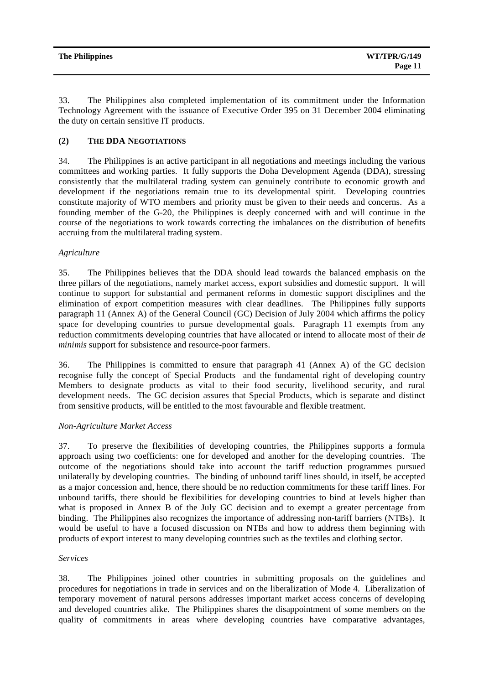33. The Philippines also completed implementation of its commitment under the Information Technology Agreement with the issuance of Executive Order 395 on 31 December 2004 eliminating the duty on certain sensitive IT products.

#### **(2) THE DDA NEGOTIATIONS**

34. The Philippines is an active participant in all negotiations and meetings including the various committees and working parties. It fully supports the Doha Development Agenda (DDA), stressing consistently that the multilateral trading system can genuinely contribute to economic growth and development if the negotiations remain true to its developmental spirit. Developing countries constitute majority of WTO members and priority must be given to their needs and concerns. As a founding member of the G-20, the Philippines is deeply concerned with and will continue in the course of the negotiations to work towards correcting the imbalances on the distribution of benefits accruing from the multilateral trading system.

#### *Agriculture*

35. The Philippines believes that the DDA should lead towards the balanced emphasis on the three pillars of the negotiations, namely market access, export subsidies and domestic support. It will continue to support for substantial and permanent reforms in domestic support disciplines and the elimination of export competition measures with clear deadlines. The Philippines fully supports paragraph 11 (Annex A) of the General Council (GC) Decision of July 2004 which affirms the policy space for developing countries to pursue developmental goals. Paragraph 11 exempts from any reduction commitments developing countries that have allocated or intend to allocate most of their *de minimis* support for subsistence and resource-poor farmers.

36. The Philippines is committed to ensure that paragraph 41 (Annex A) of the GC decision recognise fully the concept of Special Products and the fundamental right of developing country Members to designate products as vital to their food security, livelihood security, and rural development needs. The GC decision assures that Special Products, which is separate and distinct from sensitive products, will be entitled to the most favourable and flexible treatment.

#### *Non-Agriculture Market Access*

37. To preserve the flexibilities of developing countries, the Philippines supports a formula approach using two coefficients: one for developed and another for the developing countries. The outcome of the negotiations should take into account the tariff reduction programmes pursued unilaterally by developing countries. The binding of unbound tariff lines should, in itself, be accepted as a major concession and, hence, there should be no reduction commitments for these tariff lines. For unbound tariffs, there should be flexibilities for developing countries to bind at levels higher than what is proposed in Annex B of the July GC decision and to exempt a greater percentage from binding. The Philippines also recognizes the importance of addressing non-tariff barriers (NTBs). It would be useful to have a focused discussion on NTBs and how to address them beginning with products of export interest to many developing countries such as the textiles and clothing sector.

#### *Services*

38. The Philippines joined other countries in submitting proposals on the guidelines and procedures for negotiations in trade in services and on the liberalization of Mode 4. Liberalization of temporary movement of natural persons addresses important market access concerns of developing and developed countries alike. The Philippines shares the disappointment of some members on the quality of commitments in areas where developing countries have comparative advantages,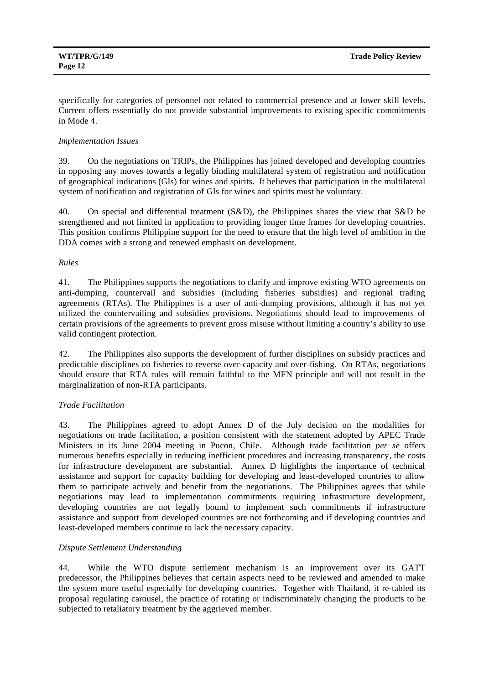specifically for categories of personnel not related to commercial presence and at lower skill levels. Current offers essentially do not provide substantial improvements to existing specific commitments in Mode 4.

#### *Implementation Issues*

39. On the negotiations on TRIPs, the Philippines has joined developed and developing countries in opposing any moves towards a legally binding multilateral system of registration and notification of geographical indications (GIs) for wines and spirits. It believes that participation in the multilateral system of notification and registration of GIs for wines and spirits must be voluntary.

40. On special and differential treatment (S&D), the Philippines shares the view that S&D be strengthened and not limited in application to providing longer time frames for developing countries. This position confirms Philippine support for the need to ensure that the high level of ambition in the DDA comes with a strong and renewed emphasis on development.

#### *Rules*

41. The Philippines supports the negotiations to clarify and improve existing WTO agreements on anti-dumping, countervail and subsidies (including fisheries subsidies) and regional trading agreements (RTAs). The Philippines is a user of anti-dumping provisions, although it has not yet utilized the countervailing and subsidies provisions. Negotiations should lead to improvements of certain provisions of the agreements to prevent gross misuse without limiting a country's ability to use valid contingent protection.

42. The Philippines also supports the development of further disciplines on subsidy practices and predictable disciplines on fisheries to reverse over-capacity and over-fishing. On RTAs, negotiations should ensure that RTA rules will remain faithful to the MFN principle and will not result in the marginalization of non-RTA participants.

#### *Trade Facilitation*

43. The Philippines agreed to adopt Annex D of the July decision on the modalities for negotiations on trade facilitation, a position consistent with the statement adopted by APEC Trade Ministers in its June 2004 meeting in Pucon, Chile. Although trade facilitation *per se* offers numerous benefits especially in reducing inefficient procedures and increasing transparency, the costs for infrastructure development are substantial. Annex D highlights the importance of technical assistance and support for capacity building for developing and least-developed countries to allow them to participate actively and benefit from the negotiations. The Philippines agrees that while negotiations may lead to implementation commitments requiring infrastructure development, developing countries are not legally bound to implement such commitments if infrastructure assistance and support from developed countries are not forthcoming and if developing countries and least-developed members continue to lack the necessary capacity.

#### *Dispute Settlement Understanding*

44. While the WTO dispute settlement mechanism is an improvement over its GATT predecessor, the Philippines believes that certain aspects need to be reviewed and amended to make the system more useful especially for developing countries. Together with Thailand, it re-tabled its proposal regulating carousel, the practice of rotating or indiscriminately changing the products to be subjected to retaliatory treatment by the aggrieved member.